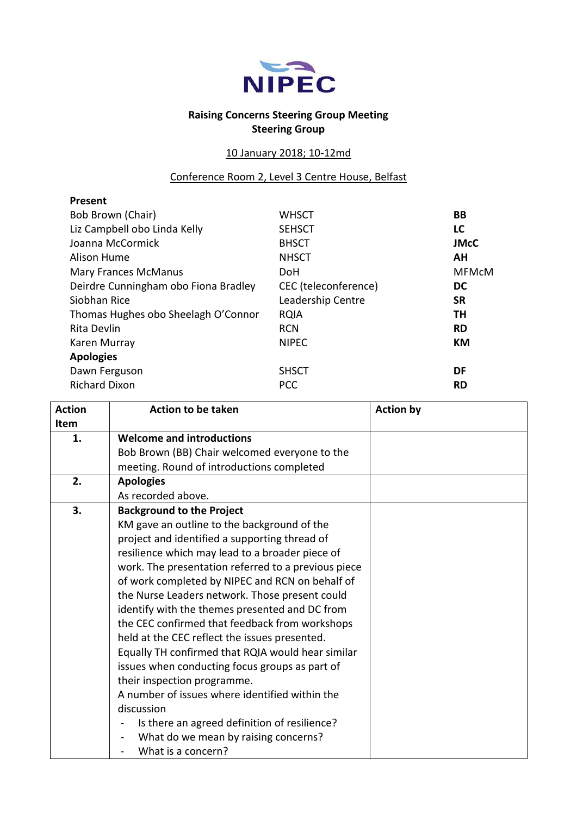

## **Raising Concerns Steering Group Meeting Steering Group**

## 10 January 2018; 10-12md

Conference Room 2, Level 3 Centre House, Belfast

| Present                              |                      |              |
|--------------------------------------|----------------------|--------------|
| Bob Brown (Chair)                    | <b>WHSCT</b>         | <b>BB</b>    |
| Liz Campbell obo Linda Kelly         | <b>SEHSCT</b>        | LC           |
| Joanna McCormick                     | <b>BHSCT</b>         | <b>JMcC</b>  |
| Alison Hume                          | <b>NHSCT</b>         | AН           |
| <b>Mary Frances McManus</b>          | DoH                  | <b>MFMcM</b> |
| Deirdre Cunningham obo Fiona Bradley | CEC (teleconference) | <b>DC</b>    |
| Siobhan Rice                         | Leadership Centre    | <b>SR</b>    |
| Thomas Hughes obo Sheelagh O'Connor  | <b>RQIA</b>          | TH           |
| Rita Devlin                          | <b>RCN</b>           | <b>RD</b>    |
| Karen Murray                         | <b>NIPEC</b>         | КM           |
| <b>Apologies</b>                     |                      |              |
| Dawn Ferguson                        | <b>SHSCT</b>         | DF           |
| <b>Richard Dixon</b>                 | <b>PCC</b>           | <b>RD</b>    |

| <b>Action</b> | <b>Action to be taken</b>                                        | <b>Action by</b> |
|---------------|------------------------------------------------------------------|------------------|
| Item          |                                                                  |                  |
| 1.            | <b>Welcome and introductions</b>                                 |                  |
|               | Bob Brown (BB) Chair welcomed everyone to the                    |                  |
|               | meeting. Round of introductions completed                        |                  |
| 2.            | <b>Apologies</b>                                                 |                  |
|               | As recorded above.                                               |                  |
| 3.            | <b>Background to the Project</b>                                 |                  |
|               | KM gave an outline to the background of the                      |                  |
|               | project and identified a supporting thread of                    |                  |
|               | resilience which may lead to a broader piece of                  |                  |
|               | work. The presentation referred to a previous piece              |                  |
|               | of work completed by NIPEC and RCN on behalf of                  |                  |
|               | the Nurse Leaders network. Those present could                   |                  |
|               | identify with the themes presented and DC from                   |                  |
|               | the CEC confirmed that feedback from workshops                   |                  |
|               | held at the CEC reflect the issues presented.                    |                  |
|               | Equally TH confirmed that RQIA would hear similar                |                  |
|               | issues when conducting focus groups as part of                   |                  |
|               | their inspection programme.                                      |                  |
|               | A number of issues where identified within the                   |                  |
|               | discussion                                                       |                  |
|               | Is there an agreed definition of resilience?                     |                  |
|               | What do we mean by raising concerns?<br>$\overline{\phantom{a}}$ |                  |
|               | What is a concern?                                               |                  |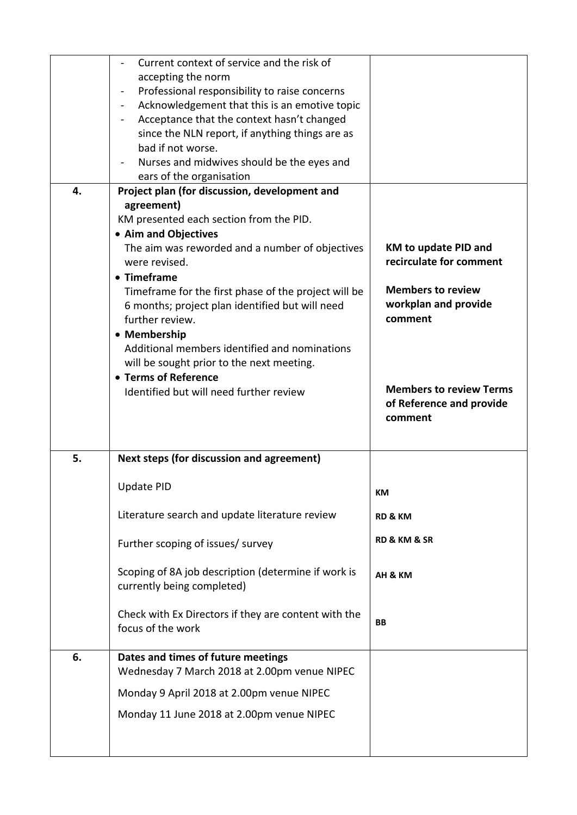|    | Current context of service and the risk of                         |                                |
|----|--------------------------------------------------------------------|--------------------------------|
|    | accepting the norm                                                 |                                |
|    | Professional responsibility to raise concerns<br>$\blacksquare$    |                                |
|    | Acknowledgement that this is an emotive topic<br>$\blacksquare$    |                                |
|    | Acceptance that the context hasn't changed<br>$\blacksquare$       |                                |
|    | since the NLN report, if anything things are as                    |                                |
|    | bad if not worse.                                                  |                                |
|    | Nurses and midwives should be the eyes and                         |                                |
|    | ears of the organisation                                           |                                |
| 4. | Project plan (for discussion, development and                      |                                |
|    | agreement)                                                         |                                |
|    | KM presented each section from the PID.                            |                                |
|    | • Aim and Objectives                                               |                                |
|    | The aim was reworded and a number of objectives                    | <b>KM to update PID and</b>    |
|    | were revised.                                                      | recirculate for comment        |
|    | • Timeframe                                                        |                                |
|    | Timeframe for the first phase of the project will be               | <b>Members to review</b>       |
|    |                                                                    | workplan and provide           |
|    | 6 months; project plan identified but will need<br>further review. | comment                        |
|    |                                                                    |                                |
|    | • Membership                                                       |                                |
|    | Additional members identified and nominations                      |                                |
|    | will be sought prior to the next meeting.                          |                                |
|    | • Terms of Reference                                               |                                |
|    | Identified but will need further review                            | <b>Members to review Terms</b> |
|    |                                                                    | of Reference and provide       |
|    |                                                                    | comment                        |
|    |                                                                    |                                |
| 5. | Next steps (for discussion and agreement)                          |                                |
|    |                                                                    |                                |
|    | <b>Update PID</b>                                                  |                                |
|    |                                                                    |                                |
|    |                                                                    | KM                             |
|    |                                                                    |                                |
|    | Literature search and update literature review                     | <b>RD &amp; KM</b>             |
|    |                                                                    | <b>RD &amp; KM &amp; SR</b>    |
|    | Further scoping of issues/ survey                                  |                                |
|    |                                                                    |                                |
|    | Scoping of 8A job description (determine if work is                | AH & KM                        |
|    | currently being completed)                                         |                                |
|    |                                                                    |                                |
|    | Check with Ex Directors if they are content with the               | <b>BB</b>                      |
|    | focus of the work                                                  |                                |
|    |                                                                    |                                |
| 6. | Dates and times of future meetings                                 |                                |
|    | Wednesday 7 March 2018 at 2.00pm venue NIPEC                       |                                |
|    | Monday 9 April 2018 at 2.00pm venue NIPEC                          |                                |
|    |                                                                    |                                |
|    | Monday 11 June 2018 at 2.00pm venue NIPEC                          |                                |
|    |                                                                    |                                |